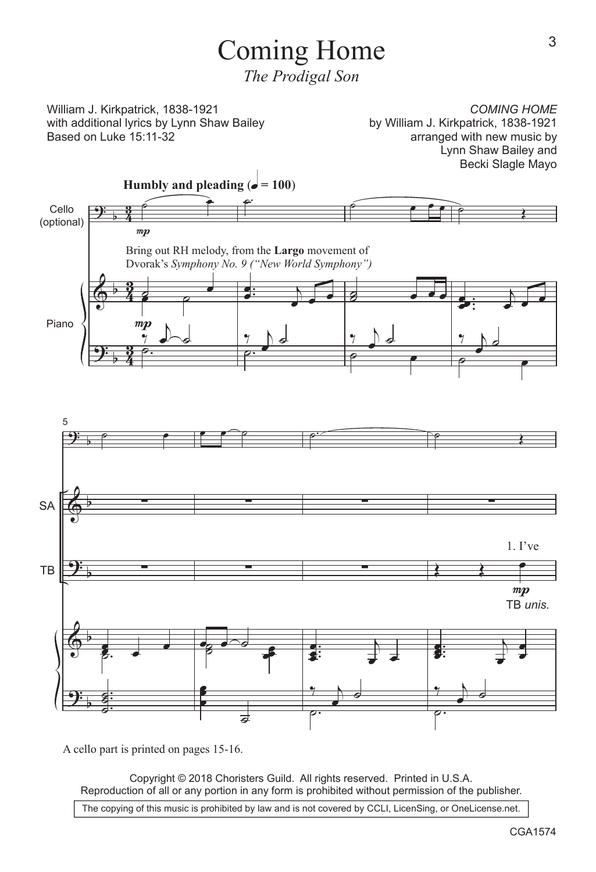## Coming Home

*The Prodigal Son*

William J. Kirkpatrick, 1838-1921 with additional lyrics by Lynn Shaw Bailey Based on Luke 15:11-32

*COMING HOME* by William J. Kirkpatrick, 1838-1921 arranged with new music by Lynn Shaw Bailey and Becki Slagle Mayo



A cello part is printed on pages 15-16.

Copyright © 2018 Choristers Guild. All rights reserved. Printed in U.S.A. Reproduction of all or any portion in any form is prohibited without permission of the publisher.

The copying of this music is prohibited by law and is not covered by CCLI, LicenSing, or OneLicense.net.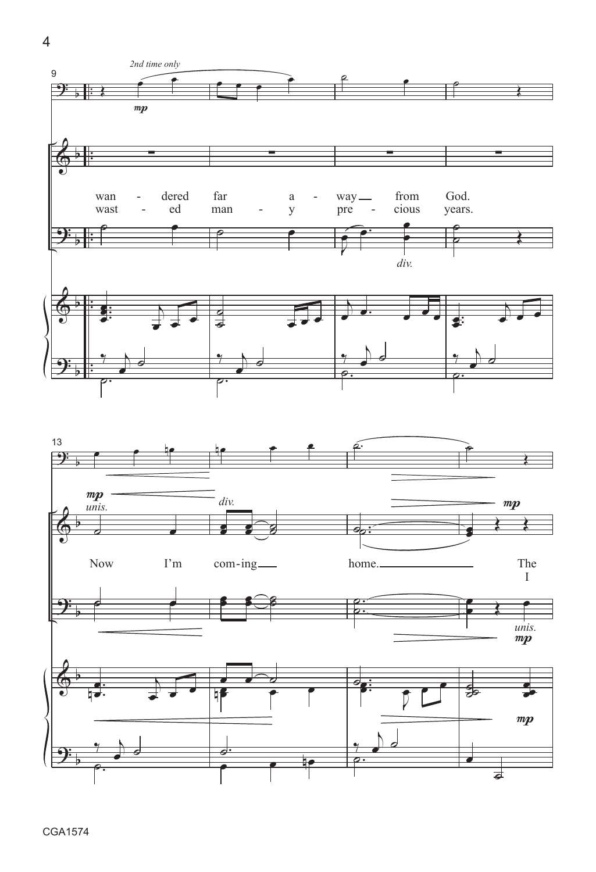$\overline{4}$ 

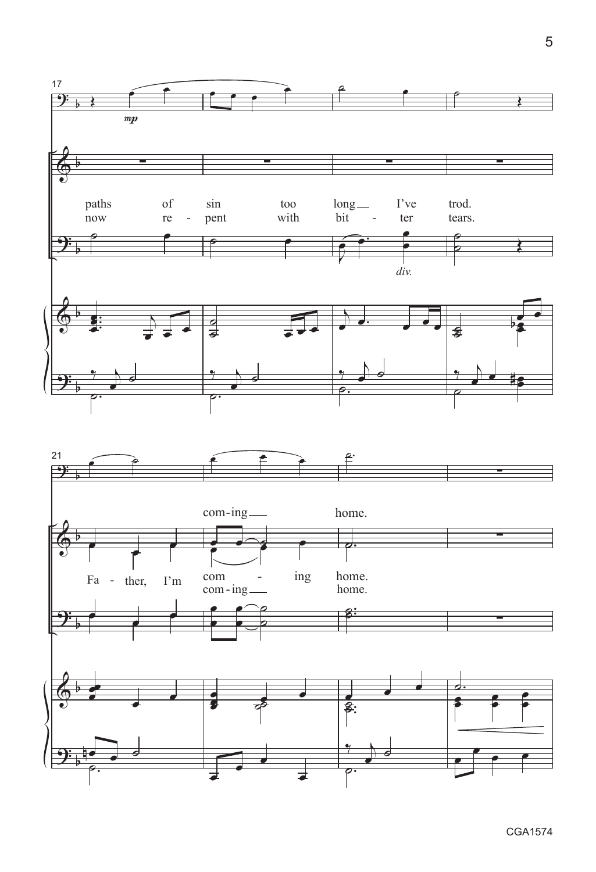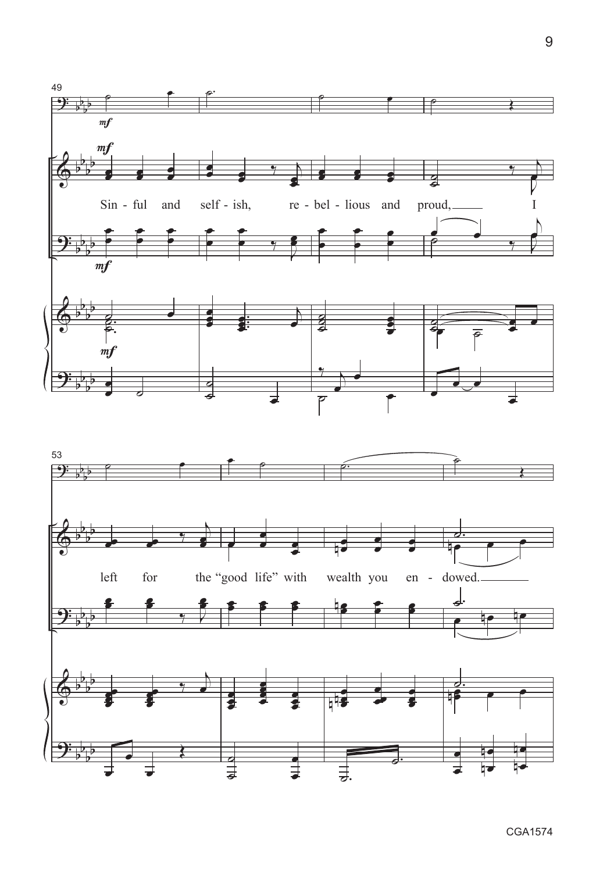

9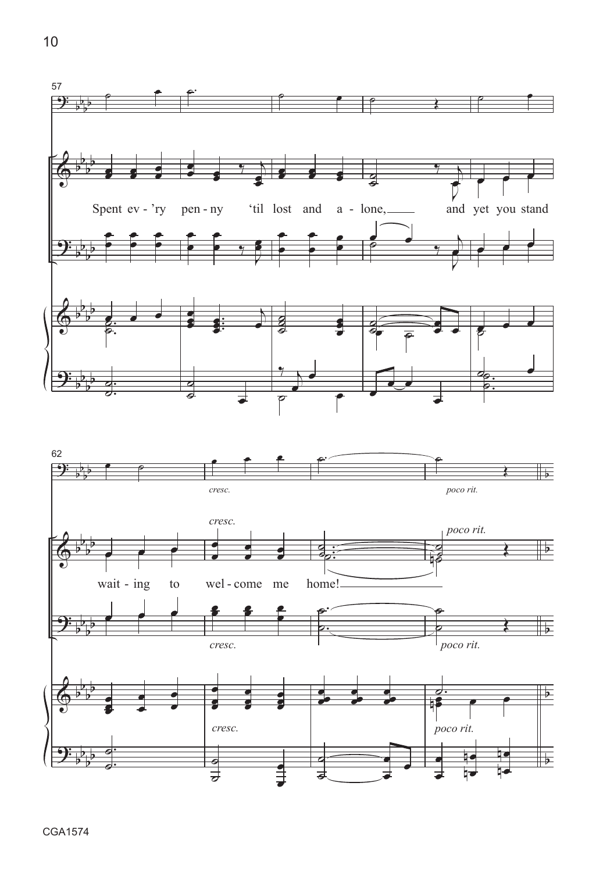